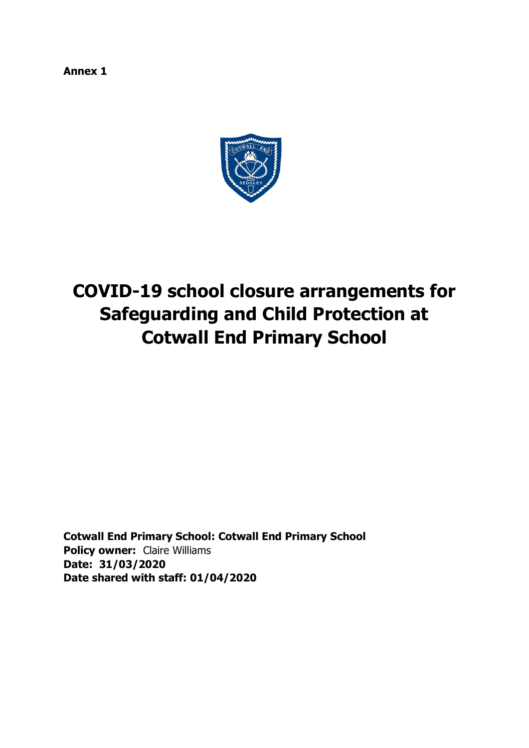**Annex 1** 



# **COVID-19 school closure arrangements for Safeguarding and Child Protection at Cotwall End Primary School**

**Cotwall End Primary School: Cotwall End Primary School Policy owner:** Claire Williams **Date: 31/03/2020 Date shared with staff: 01/04/2020**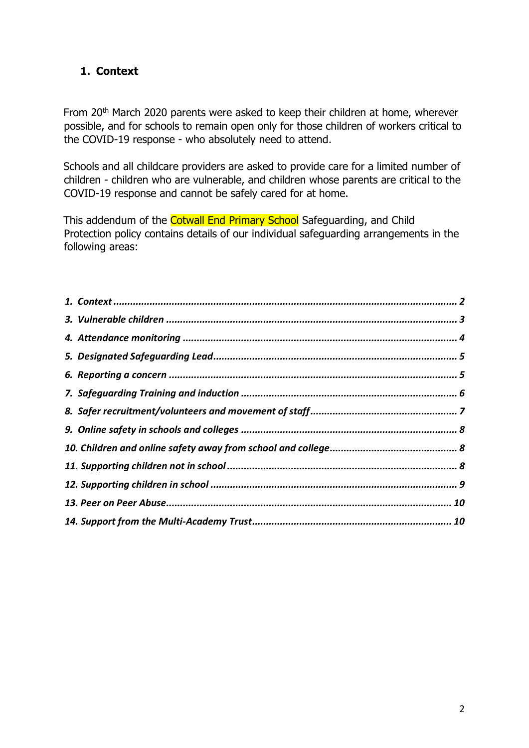# <span id="page-1-0"></span>**1. Context**

From 20<sup>th</sup> March 2020 parents were asked to keep their children at home, wherever possible, and for schools to remain open only for those children of workers critical to the COVID-19 response - who absolutely need to attend.

Schools and all childcare providers are asked to provide care for a limited number of children - children who are vulnerable, and children whose parents are critical to the COVID-19 response and cannot be safely cared for at home.

This addendum of the Cotwall End Primary School Safeguarding, and Child Protection policy contains details of our individual safeguarding arrangements in the following areas: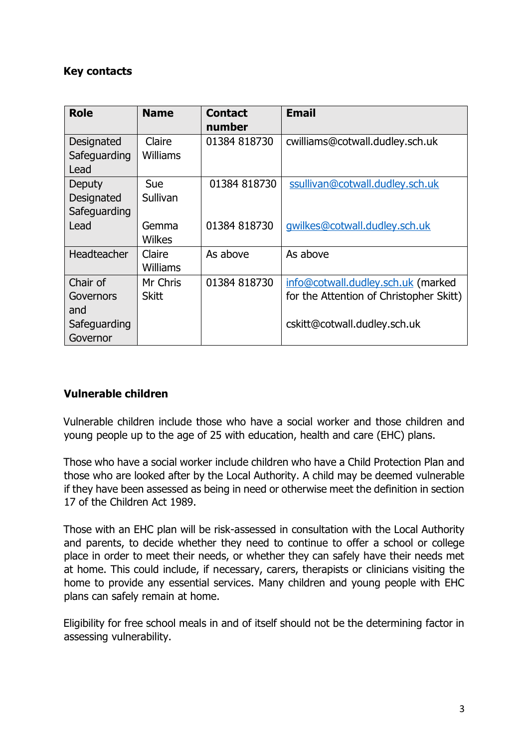# **Key contacts**

| <b>Role</b>                                              | <b>Name</b>               | <b>Contact</b><br>number | <b>Email</b>                                                                                                  |
|----------------------------------------------------------|---------------------------|--------------------------|---------------------------------------------------------------------------------------------------------------|
| Designated<br>Safeguarding<br>Lead                       | Claire<br><b>Williams</b> | 01384 818730             | cwilliams@cotwall.dudley.sch.uk                                                                               |
| Deputy<br>Designated<br>Safeguarding                     | Sue<br>Sullivan           | 01384 818730             | ssullivan@cotwall.dudley.sch.uk                                                                               |
| Lead                                                     | Gemma<br>Wilkes           | 01384 818730             | gwilkes@cotwall.dudley.sch.uk                                                                                 |
| Headteacher                                              | Claire<br>Williams        | As above                 | As above                                                                                                      |
| Chair of<br>Governors<br>and<br>Safeguarding<br>Governor | Mr Chris<br><b>Skitt</b>  | 01384 818730             | info@cotwall.dudley.sch.uk (marked<br>for the Attention of Christopher Skitt)<br>cskitt@cotwall.dudley.sch.uk |

### <span id="page-2-0"></span>**Vulnerable children**

Vulnerable children include those who have a social worker and those children and young people up to the age of 25 with education, health and care (EHC) plans.

Those who have a social worker include children who have a Child Protection Plan and those who are looked after by the Local Authority. A child may be deemed vulnerable if they have been assessed as being in need or otherwise meet the definition in section 17 of the Children Act 1989.

Those with an EHC plan will be risk-assessed in consultation with the Local Authority and parents, to decide whether they need to continue to offer a school or college place in order to meet their needs, or whether they can safely have their needs met at home. This could include, if necessary, carers, therapists or clinicians visiting the home to provide any essential services. Many children and young people with EHC plans can safely remain at home.

Eligibility for free school meals in and of itself should not be the determining factor in assessing vulnerability.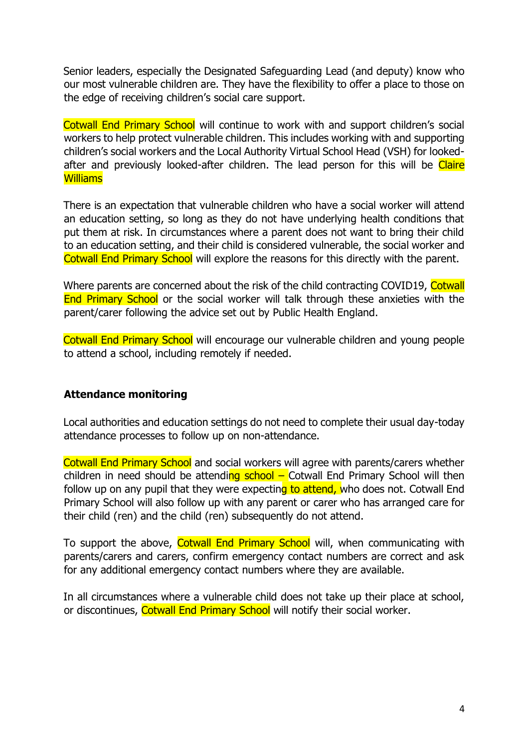Senior leaders, especially the Designated Safeguarding Lead (and deputy) know who our most vulnerable children are. They have the flexibility to offer a place to those on the edge of receiving children's social care support.

Cotwall End Primary School will continue to work with and support children's social workers to help protect vulnerable children. This includes working with and supporting children's social workers and the Local Authority Virtual School Head (VSH) for lookedafter and previously looked-after children. The lead person for this will be Claire **Williams** 

There is an expectation that vulnerable children who have a social worker will attend an education setting, so long as they do not have underlying health conditions that put them at risk. In circumstances where a parent does not want to bring their child to an education setting, and their child is considered vulnerable, the social worker and Cotwall End Primary School will explore the reasons for this directly with the parent.

Where parents are concerned about the risk of the child contracting COVID19, Cotwall End Primary School or the social worker will talk through these anxieties with the parent/carer following the advice set out by Public Health England.

Cotwall End Primary School will encourage our vulnerable children and young people to attend a school, including remotely if needed.

### <span id="page-3-0"></span>**Attendance monitoring**

Local authorities and education settings do not need to complete their usual day-today attendance processes to follow up on non-attendance.

Cotwall End Primary School and social workers will agree with parents/carers whether children in need should be attending  $\frac{\text{school}}{\text{Total}}$  Cotwall End Primary School will then follow up on any pupil that they were expecting to attend, who does not. Cotwall End Primary School will also follow up with any parent or carer who has arranged care for their child (ren) and the child (ren) subsequently do not attend.

To support the above, Cotwall End Primary School will, when communicating with parents/carers and carers, confirm emergency contact numbers are correct and ask for any additional emergency contact numbers where they are available.

In all circumstances where a vulnerable child does not take up their place at school, or discontinues, Cotwall End Primary School will notify their social worker.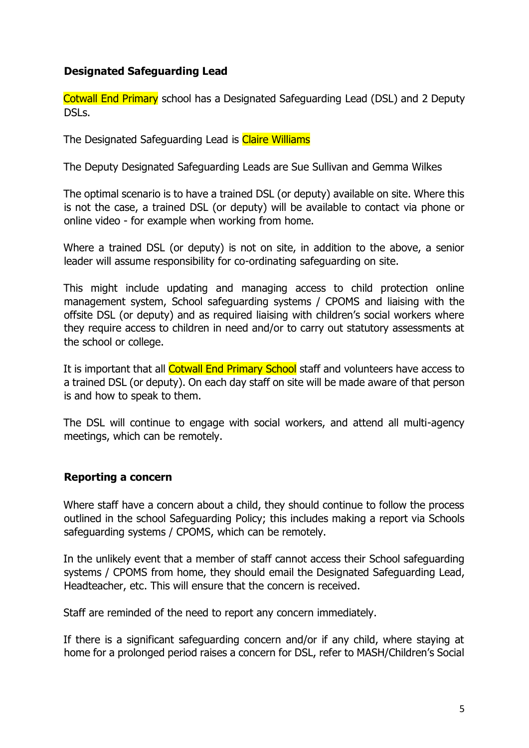## <span id="page-4-0"></span>**Designated Safeguarding Lead**

Cotwall End Primary school has a Designated Safeguarding Lead (DSL) and 2 Deputy DSLs.

The Designated Safeguarding Lead is Claire Williams

The Deputy Designated Safeguarding Leads are Sue Sullivan and Gemma Wilkes

The optimal scenario is to have a trained DSL (or deputy) available on site. Where this is not the case, a trained DSL (or deputy) will be available to contact via phone or online video - for example when working from home.

Where a trained DSL (or deputy) is not on site, in addition to the above, a senior leader will assume responsibility for co-ordinating safeguarding on site.

This might include updating and managing access to child protection online management system, School safeguarding systems / CPOMS and liaising with the offsite DSL (or deputy) and as required liaising with children's social workers where they require access to children in need and/or to carry out statutory assessments at the school or college.

It is important that all Cotwall End Primary School staff and volunteers have access to a trained DSL (or deputy). On each day staff on site will be made aware of that person is and how to speak to them.

The DSL will continue to engage with social workers, and attend all multi-agency meetings, which can be remotely.

### <span id="page-4-1"></span>**Reporting a concern**

Where staff have a concern about a child, they should continue to follow the process outlined in the school Safeguarding Policy; this includes making a report via Schools safeguarding systems / CPOMS, which can be remotely.

In the unlikely event that a member of staff cannot access their School safeguarding systems / CPOMS from home, they should email the Designated Safeguarding Lead, Headteacher, etc. This will ensure that the concern is received.

Staff are reminded of the need to report any concern immediately.

If there is a significant safeguarding concern and/or if any child, where staying at home for a prolonged period raises a concern for DSL, refer to MASH/Children's Social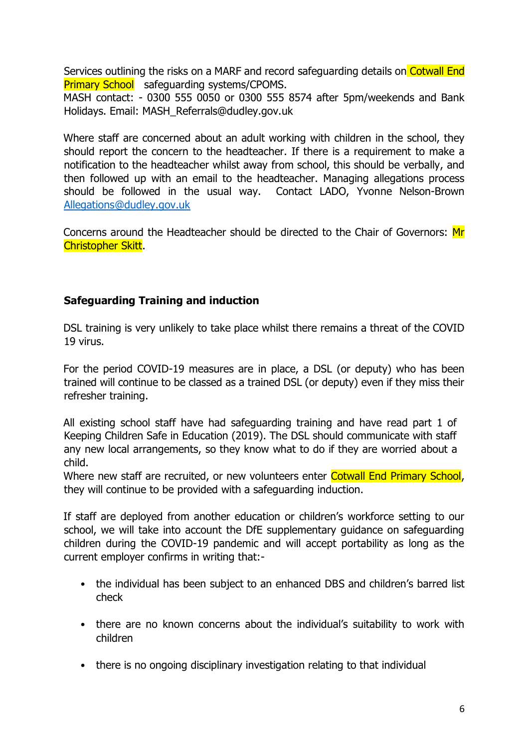Services outlining the risks on a MARF and record safeguarding details on Cotwall End **Primary School** safeguarding systems/CPOMS.

MASH contact: - 0300 555 0050 or 0300 555 8574 after 5pm/weekends and Bank Holidays. Email: MASH\_Referrals@dudley.gov.uk

Where staff are concerned about an adult working with children in the school, they should report the concern to the headteacher. If there is a requirement to make a notification to the headteacher whilst away from school, this should be verbally, and then followed up with an email to the headteacher. Managing allegations process should be followed in the usual way. Contact LADO, Yvonne Nelson-Brown [Allegations@dudley.gov.uk](mailto:Allegations@dudley.gov.uk)

Concerns around the Headteacher should be directed to the Chair of Governors: Mr Christopher Skitt.

# <span id="page-5-0"></span>**Safeguarding Training and induction**

DSL training is very unlikely to take place whilst there remains a threat of the COVID 19 virus.

For the period COVID-19 measures are in place, a DSL (or deputy) who has been trained will continue to be classed as a trained DSL (or deputy) even if they miss their refresher training.

All existing school staff have had safeguarding training and have read part 1 of Keeping Children Safe in Education (2019). The DSL should communicate with staff any new local arrangements, so they know what to do if they are worried about a child.

Where new staff are recruited, or new volunteers enter Cotwall End Primary School, they will continue to be provided with a safeguarding induction.

If staff are deployed from another education or children's workforce setting to our school, we will take into account the DfE supplementary guidance on safeguarding children during the COVID-19 pandemic and will accept portability as long as the current employer confirms in writing that:-

- the individual has been subject to an enhanced DBS and children's barred list check
- there are no known concerns about the individual's suitability to work with children
- there is no ongoing disciplinary investigation relating to that individual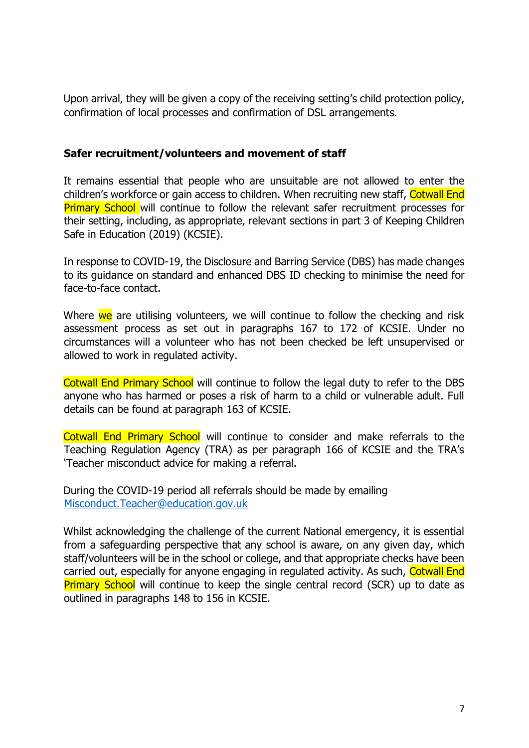Upon arrival, they will be given a copy of the receiving setting's child protection policy, confirmation of local processes and confirmation of DSL arrangements.

## <span id="page-6-0"></span>**Safer recruitment/volunteers and movement of staff**

It remains essential that people who are unsuitable are not allowed to enter the children's workforce or gain access to children. When recruiting new staff, Cotwall End **Primary School** will continue to follow the relevant safer recruitment processes for their setting, including, as appropriate, relevant sections in part 3 of Keeping Children Safe in Education (2019) (KCSIE).

In response to COVID-19, the Disclosure and Barring Service (DBS) has made changes to its guidance on standard and enhanced DBS ID checking to minimise the need for face-to-face contact.

Where we are utilising volunteers, we will continue to follow the checking and risk assessment process as set out in paragraphs 167 to 172 of KCSIE. Under no circumstances will a volunteer who has not been checked be left unsupervised or allowed to work in regulated activity.

Cotwall End Primary School will continue to follow the legal duty to refer to the DBS anyone who has harmed or poses a risk of harm to a child or vulnerable adult. Full details can be found at paragraph 163 of KCSIE.

Cotwall End Primary School will continue to consider and make referrals to the Teaching Regulation Agency (TRA) as per paragraph 166 of KCSIE and the TRA's 'Teacher misconduct advice for making a referral.

During the COVID-19 period all referrals should be made by emailing Misconduct.Teacher@education.gov.uk

Whilst acknowledging the challenge of the current National emergency, it is essential from a safeguarding perspective that any school is aware, on any given day, which staff/volunteers will be in the school or college, and that appropriate checks have been carried out, especially for anyone engaging in regulated activity. As such, Cotwall End **Primary School** will continue to keep the single central record (SCR) up to date as outlined in paragraphs 148 to 156 in KCSIE.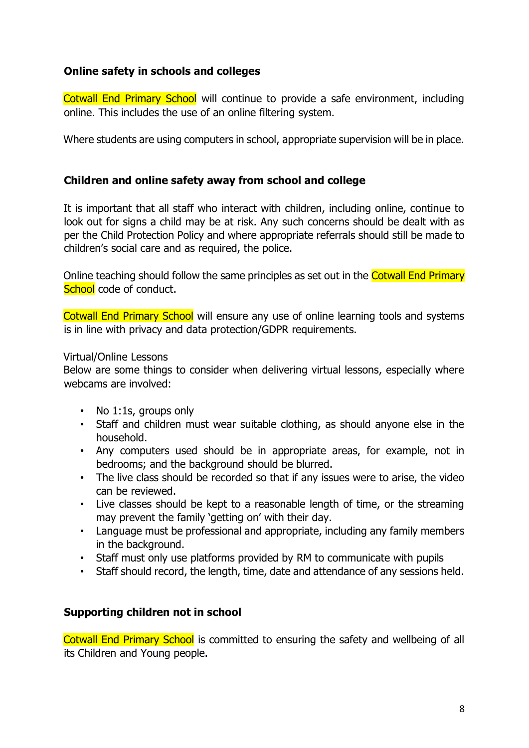## <span id="page-7-0"></span>**Online safety in schools and colleges**

Cotwall End Primary School will continue to provide a safe environment, including online. This includes the use of an online filtering system.

Where students are using computers in school, appropriate supervision will be in place.

## <span id="page-7-1"></span>**Children and online safety away from school and college**

It is important that all staff who interact with children, including online, continue to look out for signs a child may be at risk. Any such concerns should be dealt with as per the Child Protection Policy and where appropriate referrals should still be made to children's social care and as required, the police.

Online teaching should follow the same principles as set out in the Cotwall End Primary School code of conduct.

Cotwall End Primary School will ensure any use of online learning tools and systems is in line with privacy and data protection/GDPR requirements.

#### Virtual/Online Lessons

Below are some things to consider when delivering virtual lessons, especially where webcams are involved:

- No 1:1s, groups only
- Staff and children must wear suitable clothing, as should anyone else in the household.
- Any computers used should be in appropriate areas, for example, not in bedrooms; and the background should be blurred.
- The live class should be recorded so that if any issues were to arise, the video can be reviewed.
- Live classes should be kept to a reasonable length of time, or the streaming may prevent the family 'getting on' with their day.
- Language must be professional and appropriate, including any family members in the background.
- Staff must only use platforms provided by RM to communicate with pupils
- Staff should record, the length, time, date and attendance of any sessions held.

### <span id="page-7-2"></span>**Supporting children not in school**

Cotwall End Primary School is committed to ensuring the safety and wellbeing of all its Children and Young people.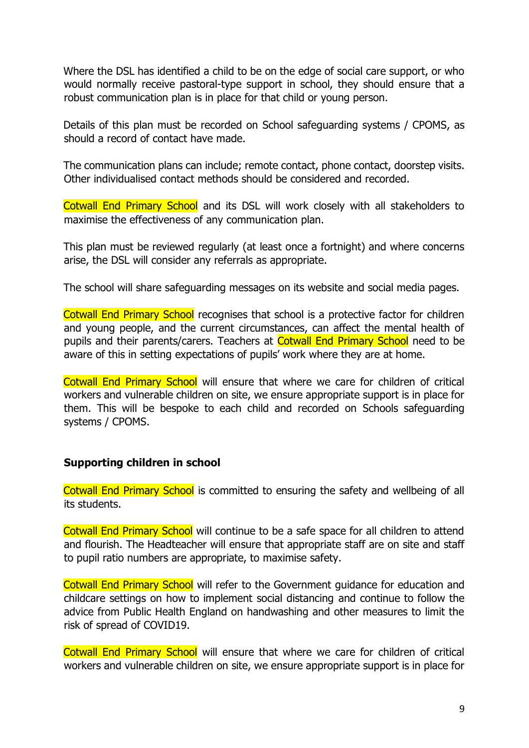Where the DSL has identified a child to be on the edge of social care support, or who would normally receive pastoral-type support in school, they should ensure that a robust communication plan is in place for that child or young person.

Details of this plan must be recorded on School safeguarding systems / CPOMS, as should a record of contact have made.

The communication plans can include; remote contact, phone contact, doorstep visits. Other individualised contact methods should be considered and recorded.

Cotwall End Primary School and its DSL will work closely with all stakeholders to maximise the effectiveness of any communication plan.

This plan must be reviewed regularly (at least once a fortnight) and where concerns arise, the DSL will consider any referrals as appropriate.

The school will share safeguarding messages on its website and social media pages.

Cotwall End Primary School recognises that school is a protective factor for children and young people, and the current circumstances, can affect the mental health of pupils and their parents/carers. Teachers at Cotwall End Primary School need to be aware of this in setting expectations of pupils' work where they are at home.

Cotwall End Primary School will ensure that where we care for children of critical workers and vulnerable children on site, we ensure appropriate support is in place for them. This will be bespoke to each child and recorded on Schools safeguarding systems / CPOMS.

### <span id="page-8-0"></span>**Supporting children in school**

Cotwall End Primary School is committed to ensuring the safety and wellbeing of all its students.

Cotwall End Primary School will continue to be a safe space for all children to attend and flourish. The Headteacher will ensure that appropriate staff are on site and staff to pupil ratio numbers are appropriate, to maximise safety.

Cotwall End Primary School will refer to the Government guidance for education and childcare settings on how to implement social distancing and continue to follow the advice from Public Health England on handwashing and other measures to limit the risk of spread of COVID19.

Cotwall End Primary School will ensure that where we care for children of critical workers and vulnerable children on site, we ensure appropriate support is in place for